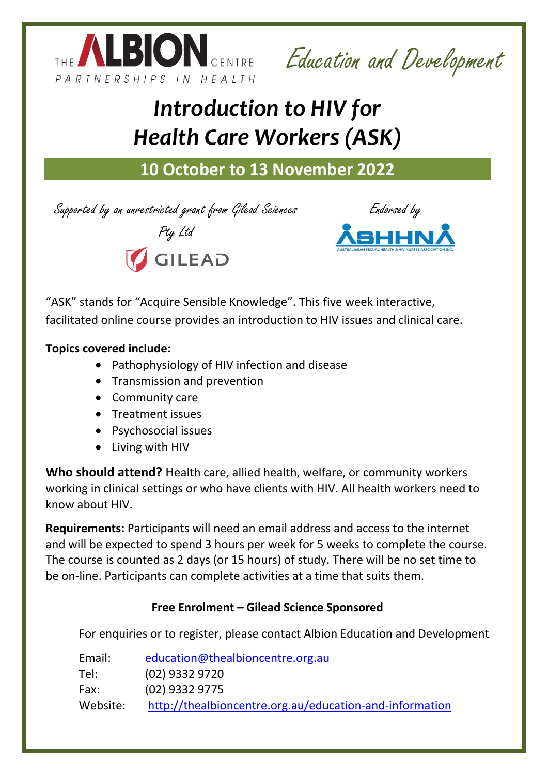

Education and Development

# *Introduction to HIV for Health Care Workers (ASK)*

## **10 October to 13 November 2022**

Supported by an unrestricted grant from Gilead Sciences





Pty Ltd

"ASK" stands for "Acquire Sensible Knowledge". This five week interactive, facilitated online course provides an introduction to HIV issues and clinical care.

#### **Topics covered include:**

- Pathophysiology of HIV infection and disease
- Transmission and prevention
- Community care
- Treatment issues
- Psychosocial issues
- Living with HIV

**Who should attend?** Health care, allied health, welfare, or community workers working in clinical settings or who have clients with HIV. All health workers need to know about HIV.

**Requirements:** Participants will need an email address and access to the internet and will be expected to spend 3 hours per week for 5 weeks to complete the course. The course is counted as 2 days (or 15 hours) of study. There will be no set time to be on-line. Participants can complete activities at a time that suits them.

### **Free Enrolment – Gilead Science Sponsored**

For enquiries or to register, please contact Albion Education and Development

| Email:<br>education@thealbioncentre.org.au                          |  |
|---------------------------------------------------------------------|--|
| $(02)$ 9332 9720<br>Tel:                                            |  |
| (02) 9332 9775<br>Fax:                                              |  |
| http://thealbioncentre.org.au/education-and-information<br>Website: |  |